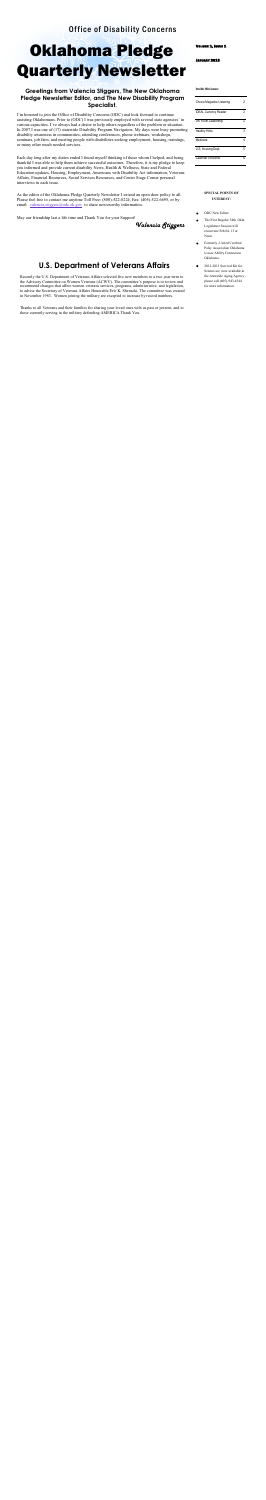I'm honored to join the Office of Disability Concerns (ODC) and look forward to continue assisting Oklahomans. Prior to (ODC) I was previously employed with several state agencies' in various capacities. I've always had a desire to help others regardless of the problem or situation. In 2007 I was one of (17) statewide Disability Program Navigators. My days were busy promoting disability awareness in communities, attending conferences, phone webinars, workshops, seminars, job fairs, and meeting people with disabilities seeking employment, housing, trainings, or many other much needed services.

As the editor of the Oklahoma Pledge Quarterly Newsletter I extend an open door policy to all. Please feel free to contact me anytime Toll Free: (800)-522-8224, Fax: (405)-522-6695, or by email: [valencia.stiggers@odc.ok.gov](mailto:valencia.stiggers@odc.ok.gov) to share newsworthy information.

Each day long after my duties ended I found myself thinking of those whom I helped, and being thankful I was able to help them achieve successful outcomes. Therefore, it is my pledge to keep you informed and provide current disability News, Health & Wellness, State and Federal Education updates, Housing, Employment, Americans with Disability Act information, Veterans Affairs, Financial Resources, Social Services Resources, and Center Stage Corner personal interviews in each issue.

May our friendship last a life time and Thank You for your Support!

 *Valencia Stiggers* 

VOLUME 1, ISSUE 1

#### JANUARY 2013

Recently the U.S. Department of Veterans Affairs selected five new members to a two year term to the Advisory Committee on Women Veterans (ACWV). The committee's purpose is to review and recommend changes that affect women veterans services, programs, administrative, and legislation, to advise the Secretary of Veterans Affairs Honorable Eric K. Shenseki. The committee was created in November 1983. Women joining the military are excepted to increase by record numbers.

Thanks to all Veterans and their families for sharing your loved ones with us past or present, and to those currently serving in the military defending AMERICA Thank You.

### **Greetings from Valencia Stiggers, The New Oklahoma Pledge Newsletter Editor, and The New Disability Program Specialist.**

#### **SPECIAL POINTS OF INTEREST:**

- ODC New Editor  $\bullet$
- The First Regular 54th Okla. Legislature Session will reconvene Feb.04, 13 at Noon.
- $\bullet$ Formerly -United Cerebral Palsy Association Oklahoma is now Ability Connection Oklahoma.
- 2012-2013 Survival Kit for  $\bullet$ Seniors are now available at the Areawide Aging Agency , please call (405)-943-4344 for more information.

#### **Inside this issue:**

| Choice Magazine Listening    |   |
|------------------------------|---|
| <b>IDEAL Currency Reader</b> | 2 |
| OK Youth Leadership          | 2 |
| <b>Healthy Hints</b>         | 3 |
| Medicare                     |   |
| U.S. Housing Dept.           | 5 |
| Calendar of Events           |   |

## **U.S. Department of Veterans Affairs**

## Office of Disability Concerns

# Oklahoma Pledge Quarterly Newsletter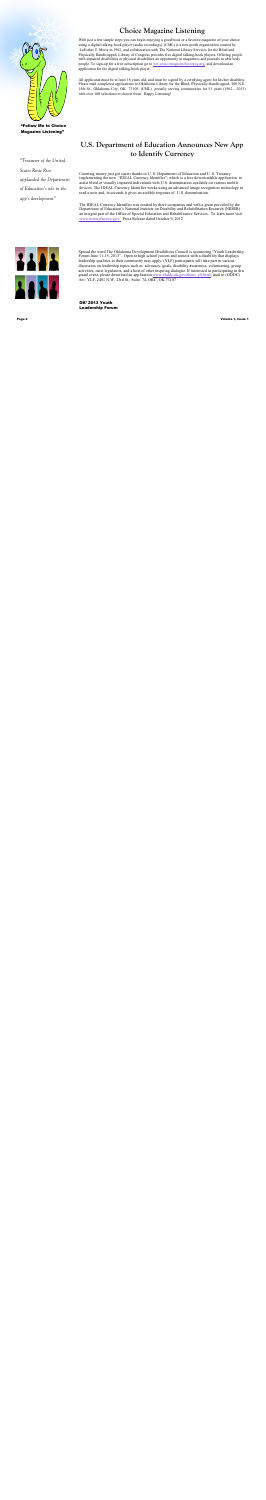With just a few simple steps you can begin enjoying a good book or a favorite magazine of your choice using a digital talking-book player (audio recordings). (CML) is a non-profit organization created by LuEsther T. Mertz in 1962, and collaboration with The National Library Services for the Blind and Physically Handicapped, Library of Congress provides free digital talking-book players. Offering people with impaired disabilities or physical disabilities an opportunity to magazines and journals as able body people. To sign-up for a free subscription go to [ww.choicemagazinelistening.org,](http://www.choicemagazinelistening.org/) and download an application for the digital talking-book player.

All applicants must be at least 18 years old, and must be signed by a certifying agent for his/her disability. Please mail completed applications to Oklahoma Library for the Blind, Physically Handicapped, 300 N.E. 18th St., Oklahoma City, OK 73105. (CML) proudly serving communities for 51 years (1962—2013) with over 100 selections to choose from. Happy Listening!

Spread the word The Oklahoma Development Disabilities Council is sponsoring "Youth Leadership Forum June 11-15, 2013". Open to high school juniors and seniors with a disability that displays leadership qualities in their community may apply. (YLF) participants will take part in various discussion on leadership topics such as advocacy, goals, disability awareness, volunteering, group activities, meet legislators, and a host of other inspiring dialogue. If interested in participating in this grand event, please download an application [www.okddc.ok.gov/about ylf.html,](http://www.okddc.ok.gov/about_ylf.html) mail to (ODDC) Att:: YLF, 2401 N.W. 23rd St., Suite: 74, OKC, OK 73107

## **Choice Magazine Listening**

*"Treasurer of the United* 

*States Rosie Rios* 

*applauded the Department* 

*of Education's role in the* 

*app's development"*

Page 2 Volume 1, Issue 1

## **U.S. Department of Education Announces New App to Identify Currency**

Counting money just got easier thanks to U. S. Department of Education and U. S. Treasury implementing the new "IDEAL Currency Identifier"; which is a free downloadable application to assist blind or visually impaired individuals with U.S. denomination available on various mobile devices. The IDEAL Currency Identifier works using an advanced image recognition technology to read a note and, in seconds it gives an audible response of U.S. denomination.

The IDEAL Currency Identifier was created by three companies and with a grant provided by the Department of Education's National Institute on Disability and Rehabilitation Research (NIDRR) an integral part of the Office of Special Education and Rehabilitative Services. To learn more visit [www.moneyfactory.gov/](http://www.moneyfactory.gov) Press Release dated October 9, 2012





#### "Follow Me to Choice Magazine Listening"

OK' 2013 Youth Leadership Forum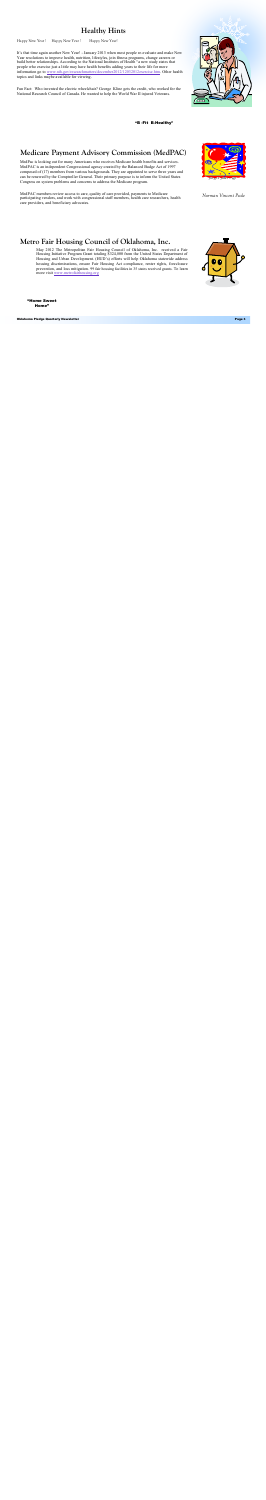It's that time again another New Year! - January 2013 when most people re-evaluate and make New Year resolutions to improve health, nutrition, lifestyles, join fitness programs, change careers or build better relationships. According to the National Institutes of Health "a new study states that people who exercise just a little may have health benefits adding years to their life for more information go to [www.nih.gov/researchmatters/december2012/12032012exercise.htm.](http://www.nih.gov/researchmatters/december2012/12032012exercise.htm) Other health topics and links maybe available for viewing.

Fun Fact: Who invented the electric wheelchair? George Kline gets the credit, who worked for the National Research Council of Canada. He wanted to help the World War II injured Veterans.

> May 2012 The Metropolitan Fair Housing Council of Oklahoma, Inc. received a Fair Housing Initiative Program Grant totaling \$324,800 from the United States Department of Housing and Urban Development. (HUD's) efforts will help Oklahoma statewide address housing discriminations, ensure Fair Housing Act compliance, renter rights, foreclosure prevention, and loss mitigation. 99 fair housing facilities in 35 states received grants. To learn more visit [www.metrofairhousing.org](http://www.metrofairhousing.org)

## **Healthy Hints**

Happy New Year ! Happy New Year ! Happy New Year!

## **Metro Fair Housing Council of Oklahoma, Inc.**

MedPac is looking out for many Americans who receives Medicare health benefits and services. MedPAC is an independent Congressional agency created by the Balanced Budge Act of 1997 composed of (17) members from various backgrounds. They are appointed to serve three years and can be renewed by the Comptroller General. Their primary purpose is to inform the United States Congress on system problems and concerns to address the Medicare program.

MedPAC members review access to care, quality of care provided, payments to Medicare participating vendors, and work with congressional staff members, health care researchers, health care providers, and beneficiary advocates.





*Norman Vincent Peale*



Oklahoma Pledge Quarterly Newsletter Page 3

## **Medicare Payment Advisory Commission (MedPAC)**

"Home Sweet Home"

"B -Fit B-Healthy"